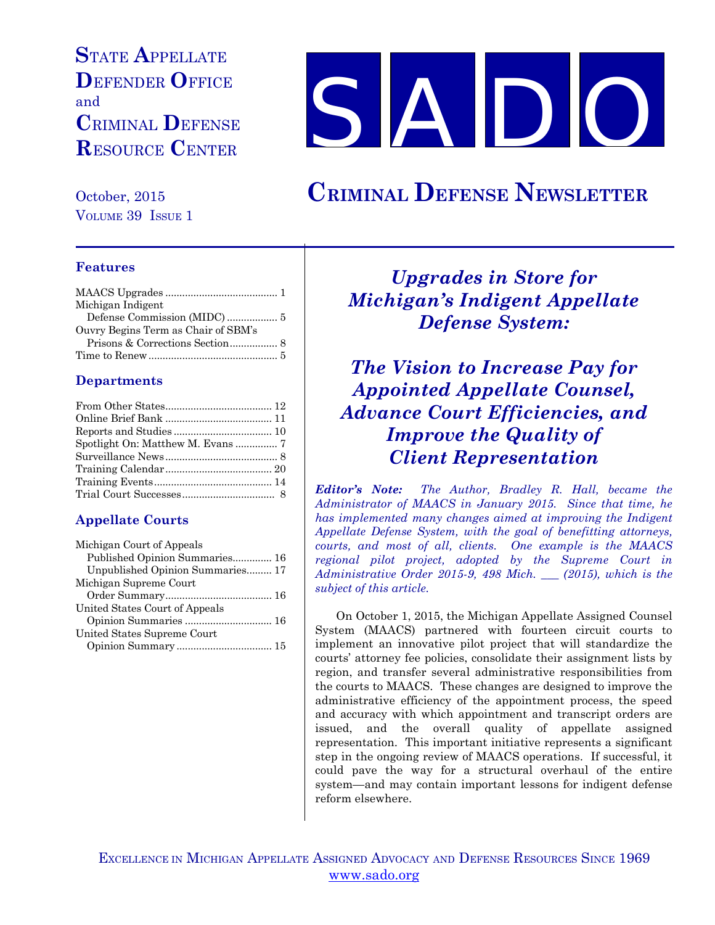# **S**TATE **A**PPELLATE **D**EFENDER **O**FFICE and **C**RIMINAL **D**EFENSE **R**ESOURCE **C**ENTER

**S A** 

October, 2015 **CRIMINAL DEFENSE NEWSLETTER**

VOLUME 39 ISSUE 1

#### **Features**

| Michigan Indigent                   |  |
|-------------------------------------|--|
|                                     |  |
| Ouvry Begins Term as Chair of SBM's |  |
|                                     |  |
|                                     |  |

#### **Departments**

## **Appellate Courts**

| Published Opinion Summaries 16   |
|----------------------------------|
| Unpublished Opinion Summaries 17 |
|                                  |
|                                  |
|                                  |
|                                  |
|                                  |
|                                  |
|                                  |

*Upgrades in Store for Michigan's Indigent Appellate Defense System:*

*The Vision to Increase Pay for Appointed Appellate Counsel, Advance Court Efficiencies, and Improve the Quality of Client Representation*

*Editor's Note: The Author, Bradley R. Hall, became the Administrator of MAACS in January 2015. Since that time, he has implemented many changes aimed at improving the Indigent Appellate Defense System, with the goal of benefitting attorneys, courts, and most of all, clients. One example is the MAACS regional pilot project, adopted by the Supreme Court in Administrative Order 2015-9, 498 Mich. \_\_\_ (2015), which is the subject of this article.* 

On October 1, 2015, the Michigan Appellate Assigned Counsel System (MAACS) partnered with fourteen circuit courts to implement an innovative pilot project that will standardize the courts' attorney fee policies, consolidate their assignment lists by region, and transfer several administrative responsibilities from the courts to MAACS. These changes are designed to improve the administrative efficiency of the appointment process, the speed and accuracy with which appointment and transcript orders are issued, and the overall quality of appellate assigned representation. This important initiative represents a significant step in the ongoing review of MAACS operations. If successful, it could pave the way for a structural overhaul of the entire system—and may contain important lessons for indigent defense reform elsewhere.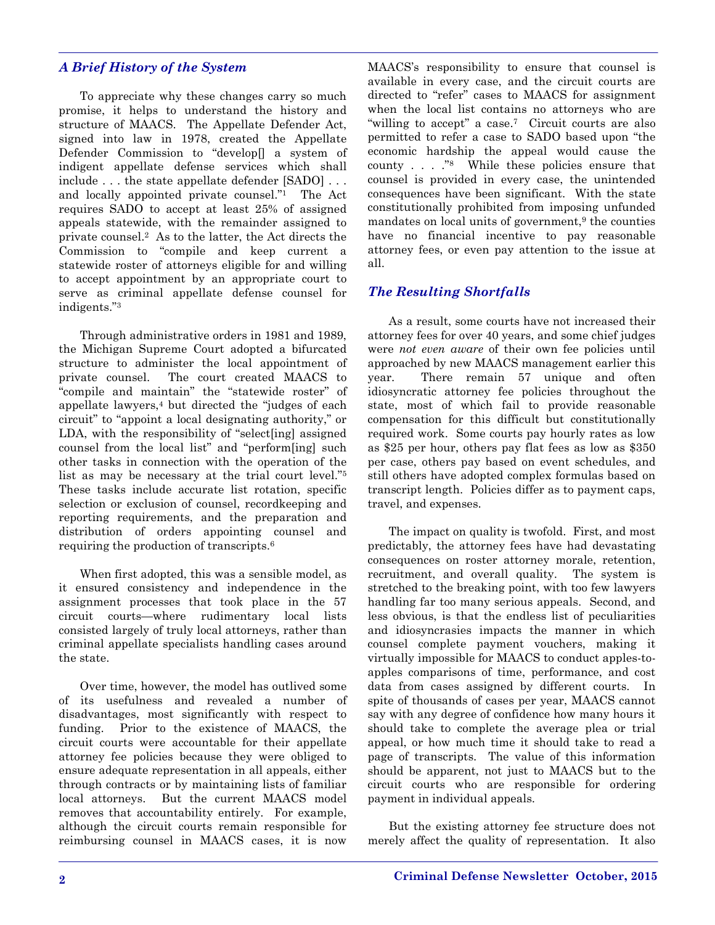#### *A Brief History of the System*

To appreciate why these changes carry so much promise, it helps to understand the history and structure of MAACS. The Appellate Defender Act, signed into law in 1978, created the Appellate Defender Commission to "develop[] a system of indigent appellate defense services which shall include . . . the state appellate defender [SADO] . . . and locally appointed private counsel."1 The Act requires SADO to accept at least 25% of assigned appeals statewide, with the remainder assigned to private counsel.2 As to the latter, the Act directs the Commission to "compile and keep current a statewide roster of attorneys eligible for and willing to accept appointment by an appropriate court to serve as criminal appellate defense counsel for indigents."3

Through administrative orders in 1981 and 1989, the Michigan Supreme Court adopted a bifurcated structure to administer the local appointment of private counsel. The court created MAACS to "compile and maintain" the "statewide roster" of appellate lawyers,4 but directed the "judges of each circuit" to "appoint a local designating authority," or LDA, with the responsibility of "select[ing] assigned counsel from the local list" and "perform[ing] such other tasks in connection with the operation of the list as may be necessary at the trial court level."5 These tasks include accurate list rotation, specific selection or exclusion of counsel, recordkeeping and reporting requirements, and the preparation and distribution of orders appointing counsel and requiring the production of transcripts.6

When first adopted, this was a sensible model, as it ensured consistency and independence in the assignment processes that took place in the 57 circuit courts—where rudimentary local lists consisted largely of truly local attorneys, rather than criminal appellate specialists handling cases around the state.

Over time, however, the model has outlived some of its usefulness and revealed a number of disadvantages, most significantly with respect to funding. Prior to the existence of MAACS, the circuit courts were accountable for their appellate attorney fee policies because they were obliged to ensure adequate representation in all appeals, either through contracts or by maintaining lists of familiar local attorneys. But the current MAACS model removes that accountability entirely. For example, although the circuit courts remain responsible for reimbursing counsel in MAACS cases, it is now MAACS's responsibility to ensure that counsel is available in every case, and the circuit courts are directed to "refer" cases to MAACS for assignment when the local list contains no attorneys who are "willing to accept" a case.7 Circuit courts are also permitted to refer a case to SADO based upon "the economic hardship the appeal would cause the county . . . ."8 While these policies ensure that counsel is provided in every case, the unintended consequences have been significant. With the state constitutionally prohibited from imposing unfunded mandates on local units of government,<sup>9</sup> the counties have no financial incentive to pay reasonable attorney fees, or even pay attention to the issue at all.

## *The Resulting Shortfalls*

As a result, some courts have not increased their attorney fees for over 40 years, and some chief judges were *not even aware* of their own fee policies until approached by new MAACS management earlier this year. There remain 57 unique and often idiosyncratic attorney fee policies throughout the state, most of which fail to provide reasonable compensation for this difficult but constitutionally required work. Some courts pay hourly rates as low as \$25 per hour, others pay flat fees as low as \$350 per case, others pay based on event schedules, and still others have adopted complex formulas based on transcript length. Policies differ as to payment caps, travel, and expenses.

The impact on quality is twofold. First, and most predictably, the attorney fees have had devastating consequences on roster attorney morale, retention, recruitment, and overall quality. The system is stretched to the breaking point, with too few lawyers handling far too many serious appeals. Second, and less obvious, is that the endless list of peculiarities and idiosyncrasies impacts the manner in which counsel complete payment vouchers, making it virtually impossible for MAACS to conduct apples-toapples comparisons of time, performance, and cost data from cases assigned by different courts. In spite of thousands of cases per year, MAACS cannot say with any degree of confidence how many hours it should take to complete the average plea or trial appeal, or how much time it should take to read a page of transcripts. The value of this information should be apparent, not just to MAACS but to the circuit courts who are responsible for ordering payment in individual appeals.

But the existing attorney fee structure does not merely affect the quality of representation. It also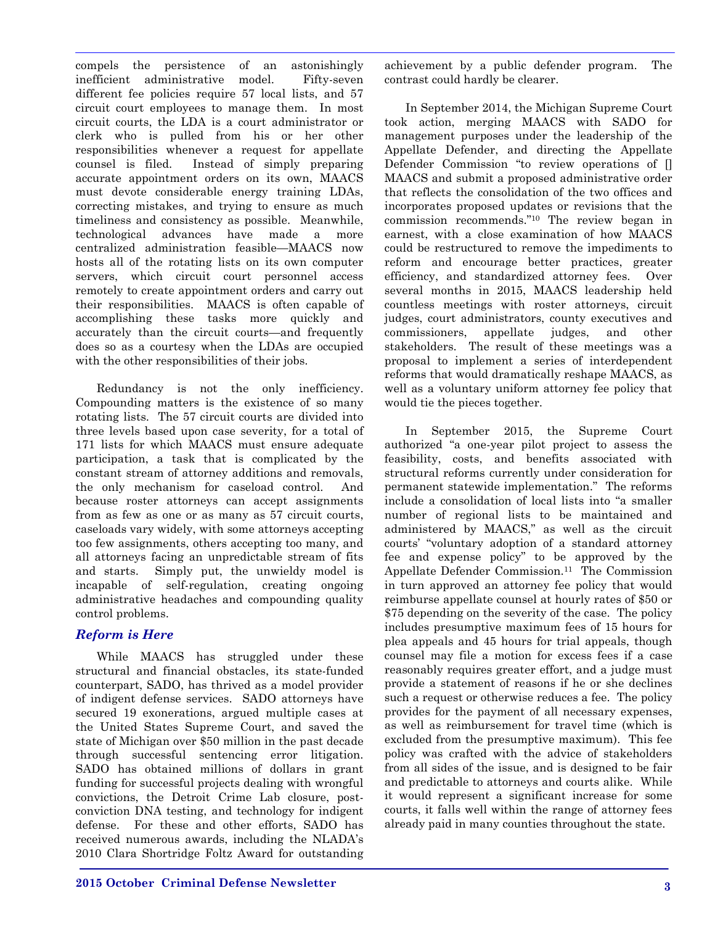compels the persistence of an astonishingly inefficient administrative model. Fifty-seven different fee policies require 57 local lists, and 57 circuit court employees to manage them. In most circuit courts, the LDA is a court administrator or clerk who is pulled from his or her other responsibilities whenever a request for appellate counsel is filed. Instead of simply preparing accurate appointment orders on its own, MAACS must devote considerable energy training LDAs, correcting mistakes, and trying to ensure as much timeliness and consistency as possible. Meanwhile, technological advances have made a more centralized administration feasible—MAACS now hosts all of the rotating lists on its own computer servers, which circuit court personnel access remotely to create appointment orders and carry out their responsibilities. MAACS is often capable of accomplishing these tasks more quickly and accurately than the circuit courts—and frequently does so as a courtesy when the LDAs are occupied with the other responsibilities of their jobs.

Redundancy is not the only inefficiency. Compounding matters is the existence of so many rotating lists. The 57 circuit courts are divided into three levels based upon case severity, for a total of 171 lists for which MAACS must ensure adequate participation, a task that is complicated by the constant stream of attorney additions and removals, the only mechanism for caseload control. And because roster attorneys can accept assignments from as few as one or as many as 57 circuit courts, caseloads vary widely, with some attorneys accepting too few assignments, others accepting too many, and all attorneys facing an unpredictable stream of fits and starts. Simply put, the unwieldy model is incapable of self-regulation, creating ongoing administrative headaches and compounding quality control problems.

#### *Reform is Here*

While MAACS has struggled under these structural and financial obstacles, its state-funded counterpart, SADO, has thrived as a model provider of indigent defense services. SADO attorneys have secured 19 exonerations, argued multiple cases at the United States Supreme Court, and saved the state of Michigan over \$50 million in the past decade through successful sentencing error litigation. SADO has obtained millions of dollars in grant funding for successful projects dealing with wrongful convictions, the Detroit Crime Lab closure, postconviction DNA testing, and technology for indigent defense. For these and other efforts, SADO has received numerous awards, including the NLADA's 2010 Clara Shortridge Foltz Award for outstanding achievement by a public defender program. The contrast could hardly be clearer.

In September 2014, the Michigan Supreme Court took action, merging MAACS with SADO for management purposes under the leadership of the Appellate Defender, and directing the Appellate Defender Commission "to review operations of [] MAACS and submit a proposed administrative order that reflects the consolidation of the two offices and incorporates proposed updates or revisions that the commission recommends."10 The review began in earnest, with a close examination of how MAACS could be restructured to remove the impediments to reform and encourage better practices, greater efficiency, and standardized attorney fees. Over several months in 2015, MAACS leadership held countless meetings with roster attorneys, circuit judges, court administrators, county executives and commissioners, appellate judges, and other stakeholders. The result of these meetings was a proposal to implement a series of interdependent reforms that would dramatically reshape MAACS, as well as a voluntary uniform attorney fee policy that would tie the pieces together.

In September 2015, the Supreme Court authorized "a one-year pilot project to assess the feasibility, costs, and benefits associated with structural reforms currently under consideration for permanent statewide implementation." The reforms include a consolidation of local lists into "a smaller number of regional lists to be maintained and administered by MAACS," as well as the circuit courts' "voluntary adoption of a standard attorney fee and expense policy" to be approved by the Appellate Defender Commission.<sup>11</sup> The Commission in turn approved an attorney fee policy that would reimburse appellate counsel at hourly rates of \$50 or \$75 depending on the severity of the case. The policy includes presumptive maximum fees of 15 hours for plea appeals and 45 hours for trial appeals, though counsel may file a motion for excess fees if a case reasonably requires greater effort, and a judge must provide a statement of reasons if he or she declines such a request or otherwise reduces a fee. The policy provides for the payment of all necessary expenses, as well as reimbursement for travel time (which is excluded from the presumptive maximum). This fee policy was crafted with the advice of stakeholders from all sides of the issue, and is designed to be fair and predictable to attorneys and courts alike. While it would represent a significant increase for some courts, it falls well within the range of attorney fees already paid in many counties throughout the state.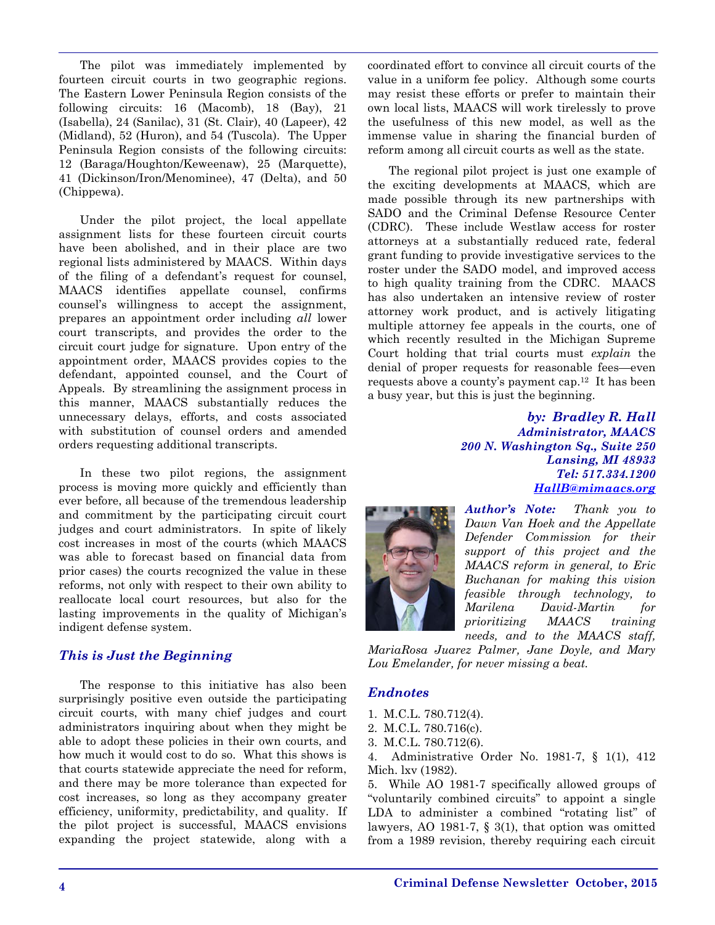The pilot was immediately implemented by fourteen circuit courts in two geographic regions. The Eastern Lower Peninsula Region consists of the following circuits: 16 (Macomb), 18 (Bay), 21 (Isabella), 24 (Sanilac), 31 (St. Clair), 40 (Lapeer), 42 (Midland), 52 (Huron), and 54 (Tuscola). The Upper Peninsula Region consists of the following circuits: 12 (Baraga/Houghton/Keweenaw), 25 (Marquette), 41 (Dickinson/Iron/Menominee), 47 (Delta), and 50 (Chippewa).

Under the pilot project, the local appellate assignment lists for these fourteen circuit courts have been abolished, and in their place are two regional lists administered by MAACS. Within days of the filing of a defendant's request for counsel, MAACS identifies appellate counsel, confirms counsel's willingness to accept the assignment, prepares an appointment order including *all* lower court transcripts, and provides the order to the circuit court judge for signature. Upon entry of the appointment order, MAACS provides copies to the defendant, appointed counsel, and the Court of Appeals. By streamlining the assignment process in this manner, MAACS substantially reduces the unnecessary delays, efforts, and costs associated with substitution of counsel orders and amended orders requesting additional transcripts.

In these two pilot regions, the assignment process is moving more quickly and efficiently than ever before, all because of the tremendous leadership and commitment by the participating circuit court judges and court administrators. In spite of likely cost increases in most of the courts (which MAACS was able to forecast based on financial data from prior cases) the courts recognized the value in these reforms, not only with respect to their own ability to reallocate local court resources, but also for the lasting improvements in the quality of Michigan's indigent defense system.

### *This is Just the Beginning*

The response to this initiative has also been surprisingly positive even outside the participating circuit courts, with many chief judges and court administrators inquiring about when they might be able to adopt these policies in their own courts, and how much it would cost to do so. What this shows is that courts statewide appreciate the need for reform, and there may be more tolerance than expected for cost increases, so long as they accompany greater efficiency, uniformity, predictability, and quality. If the pilot project is successful, MAACS envisions expanding the project statewide, along with a coordinated effort to convince all circuit courts of the value in a uniform fee policy. Although some courts may resist these efforts or prefer to maintain their own local lists, MAACS will work tirelessly to prove the usefulness of this new model, as well as the immense value in sharing the financial burden of reform among all circuit courts as well as the state.

The regional pilot project is just one example of the exciting developments at MAACS, which are made possible through its new partnerships with SADO and the Criminal Defense Resource Center (CDRC). These include Westlaw access for roster attorneys at a substantially reduced rate, federal grant funding to provide investigative services to the roster under the SADO model, and improved access to high quality training from the CDRC. MAACS has also undertaken an intensive review of roster attorney work product, and is actively litigating multiple attorney fee appeals in the courts, one of which recently resulted in the Michigan Supreme Court holding that trial courts must *explain* the denial of proper requests for reasonable fees—even requests above a county's payment cap.12 It has been a busy year, but this is just the beginning.

> *by: Bradley R. Hall Administrator, MAACS 200 N. Washington Sq., Suite 250 Lansing, MI 48933 Tel: 517.334.1200 [HallB@mimaacs.org](mailto:hHallB@mimaacs.org)*



*Author's Note: Thank you to Dawn Van Hoek and the Appellate Defender Commission for their support of this project and the MAACS reform in general, to Eric Buchanan for making this vision feasible through technology, to Marilena David-Martin for prioritizing MAACS training needs, and to the MAACS staff,* 

*MariaRosa Juarez Palmer, Jane Doyle, and Mary Lou Emelander, for never missing a beat.*

#### *Endnotes*

- 1. M.C.L. 780.712(4).
- 2. M.C.L. 780.716(c).
- 3. M.C.L. 780.712(6).

4. Administrative Order No. 1981-7, § 1(1), 412 Mich. lxv (1982).

5. While AO 1981-7 specifically allowed groups of "voluntarily combined circuits" to appoint a single LDA to administer a combined "rotating list" of lawyers, AO 1981-7, § 3(1), that option was omitted from a 1989 revision, thereby requiring each circuit